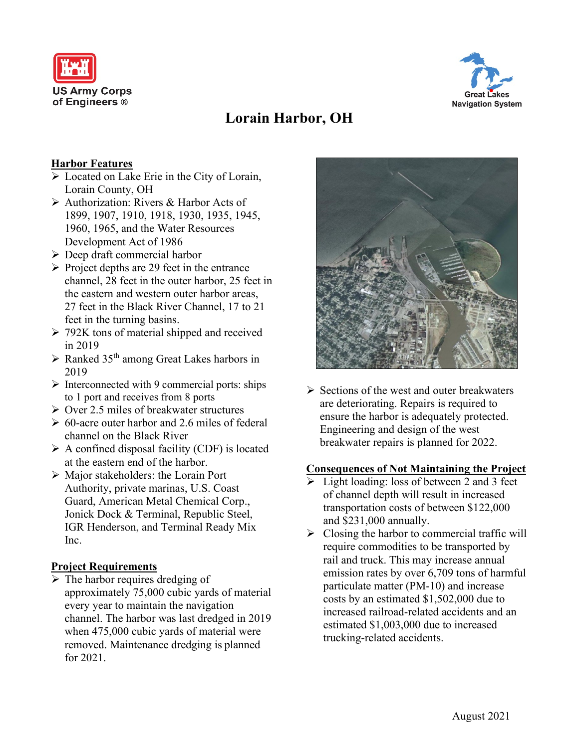



# **Lorain Harbor, OH**

## **Harbor Features**

- Located on Lake Erie in the City of Lorain, Lorain County, OH
- Authorization: Rivers & Harbor Acts of 1899, 1907, 1910, 1918, 1930, 1935, 1945, 1960, 1965, and the Water Resources Development Act of 1986
- $\triangleright$  Deep draft commercial harbor
- $\triangleright$  Project depths are 29 feet in the entrance channel, 28 feet in the outer harbor, 25 feet in the eastern and western outer harbor areas, 27 feet in the Black River Channel, 17 to 21 feet in the turning basins.
- $\geq$  792K tons of material shipped and received in 2019
- $\triangleright$  Ranked 35<sup>th</sup> among Great Lakes harbors in 2019
- $\triangleright$  Interconnected with 9 commercial ports: ships to 1 port and receives from 8 ports
- $\triangleright$  Over 2.5 miles of breakwater structures
- $\geq 60$ -acre outer harbor and 2.6 miles of federal channel on the Black River
- $\triangleright$  A confined disposal facility (CDF) is located at the eastern end of the harbor.
- Major stakeholders: the Lorain Port Authority, private marinas, U.S. Coast Guard, American Metal Chemical Corp., Jonick Dock & Terminal, Republic Steel, IGR Henderson, and Terminal Ready Mix Inc.

#### **Project Requirements**

 $\triangleright$  The harbor requires dredging of approximately 75,000 cubic yards of material every year to maintain the navigation channel. The harbor was last dredged in 2019 when 475,000 cubic yards of material were removed. Maintenance dredging is planned for 2021.



 $\triangleright$  Sections of the west and outer breakwaters are deteriorating. Repairs is required to ensure the harbor is adequately protected. Engineering and design of the west breakwater repairs is planned for 2022.

#### **Consequences of Not Maintaining the Project**

- $\triangleright$  Light loading: loss of between 2 and 3 feet of channel depth will result in increased transportation costs of between \$122,000 and \$231,000 annually.
- $\triangleright$  Closing the harbor to commercial traffic will require commodities to be transported by rail and truck. This may increase annual emission rates by over 6,709 tons of harmful particulate matter (PM-10) and increase costs by an estimated \$1,502,000 due to increased railroad-related accidents and an estimated \$1,003,000 due to increased trucking-related accidents.